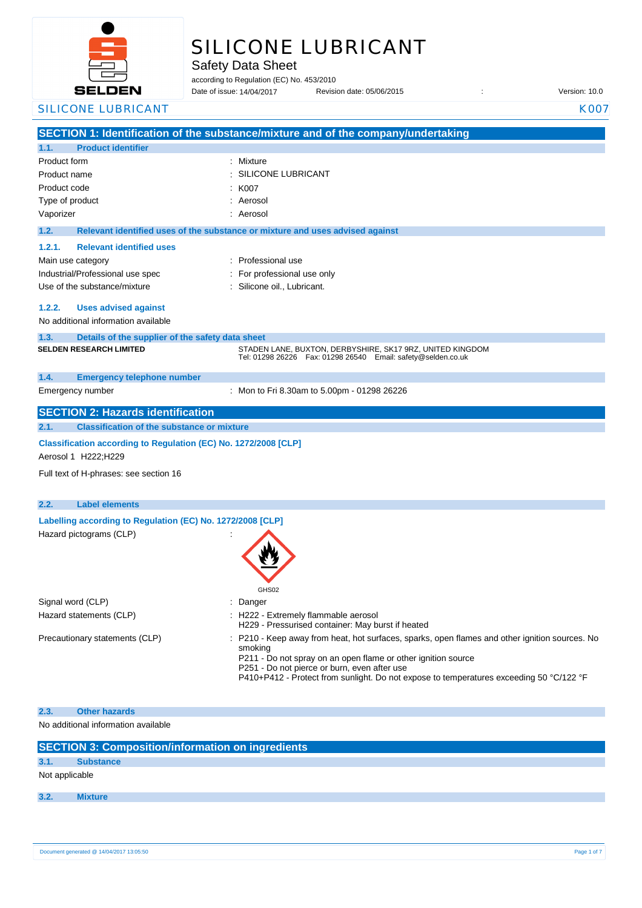

# SILICONE LUBRICANT

Safety Data Sheet

according to Regulation (EC) No. 453/2010

Date of issue: Revision date: 05/06/2015 : Version: 10.0 Date of issue: 14/04/2017

|                        | <b>SILICONE LUBRICANT</b>                                       | <b>K007</b>                                                                                                                             |
|------------------------|-----------------------------------------------------------------|-----------------------------------------------------------------------------------------------------------------------------------------|
|                        |                                                                 | SECTION 1: Identification of the substance/mixture and of the company/undertaking                                                       |
| 1.1.                   | <b>Product identifier</b>                                       |                                                                                                                                         |
| Product form           |                                                                 | : Mixture                                                                                                                               |
| Product name           |                                                                 | SILICONE LUBRICANT                                                                                                                      |
| Product code           |                                                                 | K007                                                                                                                                    |
| Type of product        |                                                                 | Aerosol                                                                                                                                 |
| Vaporizer              |                                                                 | Aerosol                                                                                                                                 |
| 1.2.                   |                                                                 | Relevant identified uses of the substance or mixture and uses advised against                                                           |
| 1.2.1.                 | <b>Relevant identified uses</b>                                 |                                                                                                                                         |
| Main use category      |                                                                 | : Professional use                                                                                                                      |
|                        | Industrial/Professional use spec                                |                                                                                                                                         |
|                        | Use of the substance/mixture                                    | For professional use only<br>Silicone oil., Lubricant.                                                                                  |
|                        |                                                                 |                                                                                                                                         |
| 1.2.2.                 | <b>Uses advised against</b>                                     |                                                                                                                                         |
|                        | No additional information available                             |                                                                                                                                         |
| 1.3.                   | Details of the supplier of the safety data sheet                |                                                                                                                                         |
|                        | <b>SELDEN RESEARCH LIMITED</b>                                  | STADEN LANE, BUXTON, DERBYSHIRE, SK17 9RZ, UNITED KINGDOM                                                                               |
|                        |                                                                 | Tel: 01298 26226    Fax: 01298 26540    Email: safety@selden.co.uk                                                                      |
| 1.4.                   | <b>Emergency telephone number</b>                               |                                                                                                                                         |
|                        | Emergency number                                                | : Mon to Fri 8.30am to 5.00pm - 01298 26226                                                                                             |
|                        |                                                                 |                                                                                                                                         |
|                        | <b>SECTION 2: Hazards identification</b>                        |                                                                                                                                         |
| 2.1.                   | <b>Classification of the substance or mixture</b>               |                                                                                                                                         |
|                        | Classification according to Regulation (EC) No. 1272/2008 [CLP] |                                                                                                                                         |
|                        | Aerosol 1 H222; H229                                            |                                                                                                                                         |
|                        | Full text of H-phrases: see section 16                          |                                                                                                                                         |
|                        |                                                                 |                                                                                                                                         |
| 2.2.                   | <b>Label elements</b>                                           |                                                                                                                                         |
|                        | Labelling according to Regulation (EC) No. 1272/2008 [CLP]      |                                                                                                                                         |
|                        | Hazard pictograms (CLP)                                         |                                                                                                                                         |
|                        |                                                                 |                                                                                                                                         |
|                        |                                                                 |                                                                                                                                         |
|                        |                                                                 |                                                                                                                                         |
|                        |                                                                 |                                                                                                                                         |
|                        |                                                                 | GHS02                                                                                                                                   |
| Signal word (CLP)      | Hazard statements (CLP)                                         | Danger                                                                                                                                  |
|                        |                                                                 | H222 - Extremely flammable aerosol<br>H229 - Pressurised container: May burst if heated                                                 |
|                        | Precautionary statements (CLP)                                  | P210 - Keep away from heat, hot surfaces, sparks, open flames and other ignition sources. No                                            |
|                        |                                                                 | smoking                                                                                                                                 |
|                        |                                                                 | P211 - Do not spray on an open flame or other ignition source                                                                           |
|                        |                                                                 | P251 - Do not pierce or burn, even after use<br>P410+P412 - Protect from sunlight. Do not expose to temperatures exceeding 50 °C/122 °F |
|                        |                                                                 |                                                                                                                                         |
|                        |                                                                 |                                                                                                                                         |
| 2.3.                   | <b>Other hazards</b>                                            |                                                                                                                                         |
|                        | No additional information available                             |                                                                                                                                         |
|                        | <b>SECTION 3: Composition/information on ingredients</b>        |                                                                                                                                         |
|                        | <b>Substance</b>                                                |                                                                                                                                         |
| 3.1.<br>Not applicable |                                                                 |                                                                                                                                         |
|                        |                                                                 |                                                                                                                                         |
| 3.2.                   | <b>Mixture</b>                                                  |                                                                                                                                         |
|                        |                                                                 |                                                                                                                                         |
|                        |                                                                 |                                                                                                                                         |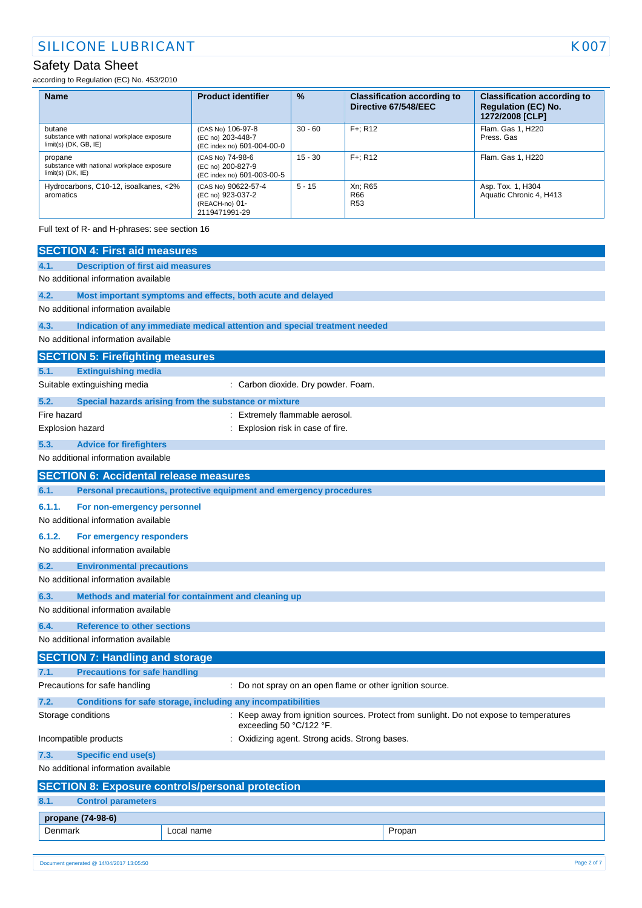according to Regulation (EC) No. 453/2010

| <b>Name</b>                                                                     | <b>Product identifier</b>                                                   | $\frac{9}{6}$ | <b>Classification according to</b><br>Directive 67/548/EEC | <b>Classification according to</b><br><b>Regulation (EC) No.</b><br>1272/2008 [CLP] |
|---------------------------------------------------------------------------------|-----------------------------------------------------------------------------|---------------|------------------------------------------------------------|-------------------------------------------------------------------------------------|
| butane<br>substance with national workplace exposure<br>$limit(s)$ (DK, GB, IE) | (CAS No) 106-97-8<br>(EC no) 203-448-7<br>(EC index no) 601-004-00-0        | $30 - 60$     | $F +: R12$                                                 | Flam. Gas 1, H220<br>Press, Gas                                                     |
| propane<br>substance with national workplace exposure<br>$limit(s)$ (DK, IE)    | (CAS No) 74-98-6<br>(EC no) 200-827-9<br>(EC index no) 601-003-00-5         | $15 - 30$     | $F +: R12$                                                 | Flam, Gas 1, H220                                                                   |
| Hydrocarbons, C10-12, isoalkanes, <2%<br>aromatics                              | (CAS No) 90622-57-4<br>(EC no) 923-037-2<br>(REACH-no) 01-<br>2119471991-29 | $5 - 15$      | Xn: R65<br>R66<br><b>R53</b>                               | Asp. Tox. 1, H304<br>Aquatic Chronic 4, H413                                        |

Full text of R- and H-phrases: see section 16

| <b>SECTION 4: First aid measures</b>                                    |                                                                                                                    |                                                           |  |
|-------------------------------------------------------------------------|--------------------------------------------------------------------------------------------------------------------|-----------------------------------------------------------|--|
| <b>Description of first aid measures</b><br>4.1.                        |                                                                                                                    |                                                           |  |
| No additional information available                                     |                                                                                                                    |                                                           |  |
| 4.2.                                                                    | Most important symptoms and effects, both acute and delayed                                                        |                                                           |  |
| No additional information available                                     |                                                                                                                    |                                                           |  |
| 4.3.                                                                    | Indication of any immediate medical attention and special treatment needed                                         |                                                           |  |
| No additional information available                                     |                                                                                                                    |                                                           |  |
| <b>SECTION 5: Firefighting measures</b>                                 |                                                                                                                    |                                                           |  |
| <b>Extinguishing media</b><br>5.1.                                      |                                                                                                                    |                                                           |  |
| Suitable extinguishing media                                            | : Carbon dioxide. Dry powder. Foam.                                                                                |                                                           |  |
| 5.2.                                                                    | Special hazards arising from the substance or mixture                                                              |                                                           |  |
| Fire hazard                                                             | Extremely flammable aerosol.                                                                                       |                                                           |  |
| Explosion hazard                                                        | Explosion risk in case of fire.                                                                                    |                                                           |  |
| 5.3.<br><b>Advice for firefighters</b>                                  |                                                                                                                    |                                                           |  |
| No additional information available                                     |                                                                                                                    |                                                           |  |
| <b>SECTION 6: Accidental release measures</b>                           |                                                                                                                    |                                                           |  |
| 6.1.                                                                    | Personal precautions, protective equipment and emergency procedures                                                |                                                           |  |
| 6.1.1.<br>For non-emergency personnel                                   |                                                                                                                    |                                                           |  |
| No additional information available                                     |                                                                                                                    |                                                           |  |
| 6.1.2.<br>For emergency responders                                      |                                                                                                                    |                                                           |  |
| No additional information available                                     |                                                                                                                    |                                                           |  |
| 6.2.<br><b>Environmental precautions</b>                                |                                                                                                                    |                                                           |  |
| No additional information available                                     |                                                                                                                    |                                                           |  |
| 6.3.                                                                    | Methods and material for containment and cleaning up                                                               |                                                           |  |
| No additional information available                                     |                                                                                                                    |                                                           |  |
| 6.4.                                                                    | <b>Reference to other sections</b>                                                                                 |                                                           |  |
|                                                                         | No additional information available                                                                                |                                                           |  |
| <b>SECTION 7: Handling and storage</b>                                  |                                                                                                                    |                                                           |  |
| <b>Precautions for safe handling</b><br>7.1.                            |                                                                                                                    |                                                           |  |
| Precautions for safe handling                                           |                                                                                                                    | : Do not spray on an open flame or other ignition source. |  |
| 7.2.                                                                    | Conditions for safe storage, including any incompatibilities                                                       |                                                           |  |
| Storage conditions                                                      | : Keep away from ignition sources. Protect from sunlight. Do not expose to temperatures<br>exceeding 50 °C/122 °F. |                                                           |  |
| Incompatible products<br>: Oxidizing agent. Strong acids. Strong bases. |                                                                                                                    |                                                           |  |
| 7.3.                                                                    | <b>Specific end use(s)</b>                                                                                         |                                                           |  |
|                                                                         | No additional information available                                                                                |                                                           |  |
|                                                                         | <b>SECTION 8: Exposure controls/personal protection</b>                                                            |                                                           |  |
| <b>Control parameters</b><br>8.1.                                       |                                                                                                                    |                                                           |  |
| propane (74-98-6)                                                       |                                                                                                                    |                                                           |  |
| Denmark                                                                 | Local name                                                                                                         | Propan                                                    |  |
|                                                                         |                                                                                                                    |                                                           |  |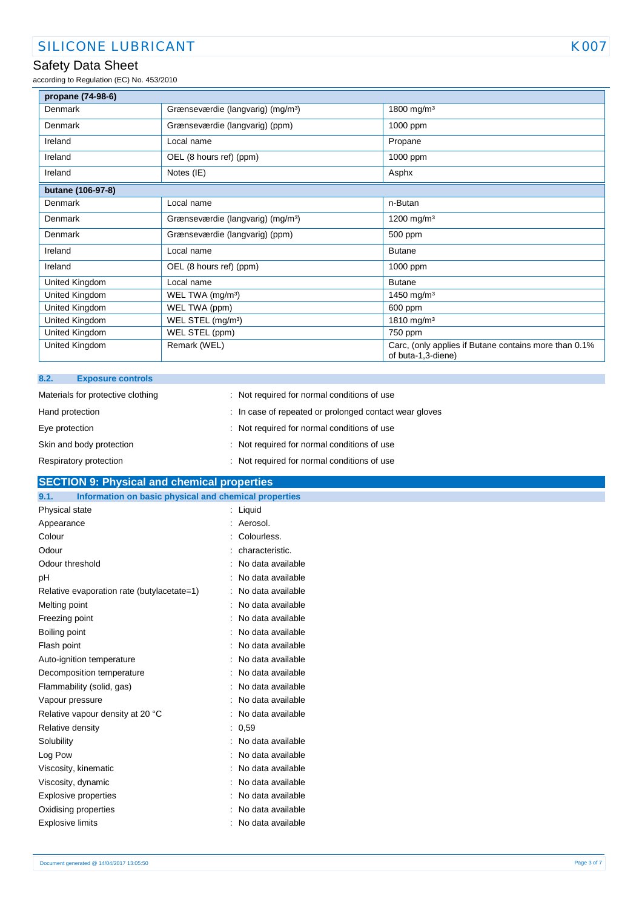according to Regulation (EC) No. 453/2010

| propane (74-98-6) |                                               |                                                                             |
|-------------------|-----------------------------------------------|-----------------------------------------------------------------------------|
| Denmark           | Grænseværdie (langvarig) (mg/m <sup>3</sup> ) | 1800 mg/m <sup>3</sup>                                                      |
| <b>Denmark</b>    | Grænseværdie (langvarig) (ppm)                | 1000 ppm                                                                    |
| Ireland           | Local name                                    | Propane                                                                     |
| Ireland           | OEL (8 hours ref) (ppm)                       | 1000 ppm                                                                    |
| Ireland           | Notes (IE)                                    | Asphx                                                                       |
| butane (106-97-8) |                                               |                                                                             |
| Denmark           | Local name                                    | n-Butan                                                                     |
| Denmark           | Grænseværdie (langvarig) (mg/m <sup>3</sup> ) | 1200 mg/m <sup>3</sup>                                                      |
| Denmark           | Grænseværdie (langvarig) (ppm)                | 500 ppm                                                                     |
| Ireland           | Local name                                    | <b>Butane</b>                                                               |
| Ireland           | OEL (8 hours ref) (ppm)                       | 1000 ppm                                                                    |
| United Kingdom    | Local name                                    | <b>Butane</b>                                                               |
| United Kingdom    | WEL TWA (mg/m <sup>3</sup> )                  | 1450 mg/m <sup>3</sup>                                                      |
| United Kingdom    | WEL TWA (ppm)                                 | 600 ppm                                                                     |
| United Kingdom    | WEL STEL (mg/m <sup>3</sup> )                 | 1810 mg/m <sup>3</sup>                                                      |
| United Kingdom    | WEL STEL (ppm)                                | 750 ppm                                                                     |
| United Kingdom    | Remark (WEL)                                  | Carc, (only applies if Butane contains more than 0.1%<br>of buta-1,3-diene) |

| 8.2.<br><b>Exposure controls</b>  |                                                        |
|-----------------------------------|--------------------------------------------------------|
| Materials for protective clothing | : Not required for normal conditions of use            |
| Hand protection                   | : In case of repeated or prolonged contact wear gloves |
| Eye protection                    | : Not required for normal conditions of use            |
| Skin and body protection          | : Not required for normal conditions of use            |
| Respiratory protection            | : Not required for normal conditions of use            |

### **SECTION 9: Physical and chemical properties**

| Information on basic physical and chemical properties<br>9.1. |                   |
|---------------------------------------------------------------|-------------------|
| Physical state                                                | $:$ Liquid        |
| Appearance                                                    | Aerosol.          |
| Colour                                                        | Colourless.       |
| Odour                                                         | characteristic.   |
| Odour threshold                                               | No data available |
| pH                                                            | No data available |
| Relative evaporation rate (butylacetate=1)                    | No data available |
| Melting point                                                 | No data available |
| Freezing point                                                | No data available |
| Boiling point                                                 | No data available |
| Flash point                                                   | No data available |
| Auto-ignition temperature                                     | No data available |
| Decomposition temperature                                     | No data available |
| Flammability (solid, gas)                                     | No data available |
| Vapour pressure                                               | No data available |
| Relative vapour density at 20 °C                              | No data available |
| Relative density                                              | : 0.59            |
| Solubility                                                    | No data available |
| Log Pow                                                       | No data available |
| Viscosity, kinematic                                          | No data available |
| Viscosity, dynamic                                            | No data available |
| <b>Explosive properties</b>                                   | No data available |
| Oxidising properties                                          | No data available |
| Explosive limits                                              | No data available |
|                                                               |                   |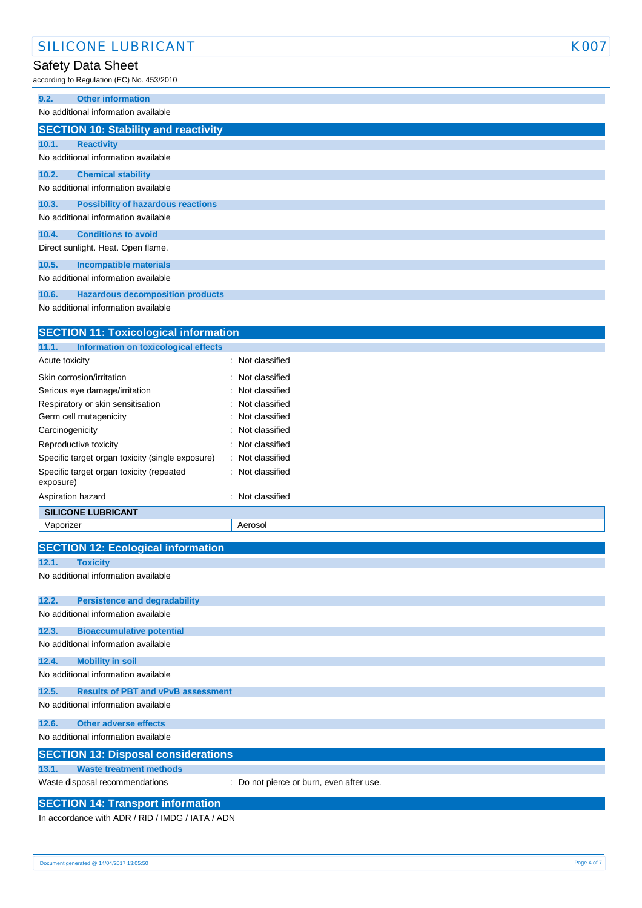according to Regulation (EC) No. 453/2010

| 9.2.  | <b>Other information</b>                    |
|-------|---------------------------------------------|
|       | No additional information available         |
|       | <b>SECTION 10: Stability and reactivity</b> |
| 10.1. | <b>Reactivity</b>                           |
|       | No additional information available         |
| 10.2. | <b>Chemical stability</b>                   |
|       | No additional information available         |
| 10.3. | <b>Possibility of hazardous reactions</b>   |
|       | No additional information available         |
| 10.4. | <b>Conditions to avoid</b>                  |
|       | Direct sunlight. Heat. Open flame.          |
| 10.5. | <b>Incompatible materials</b>               |
|       | No additional information available         |
| 10.6. | <b>Hazardous decomposition products</b>     |

No additional information available

| <b>SECTION 11: Toxicological information</b>          |                  |
|-------------------------------------------------------|------------------|
| Information on toxicological effects<br>11.1.         |                  |
| Acute toxicity                                        | : Not classified |
| Skin corrosion/irritation                             | : Not classified |
| Serious eye damage/irritation                         | : Not classified |
| Respiratory or skin sensitisation                     | : Not classified |
| Germ cell mutagenicity                                | : Not classified |
| Carcinogenicity                                       | : Not classified |
| Reproductive toxicity                                 | : Not classified |
| Specific target organ toxicity (single exposure)      | : Not classified |
| Specific target organ toxicity (repeated<br>exposure) | : Not classified |
| Aspiration hazard                                     | : Not classified |
| <b>SILICONE LUBRICANT</b>                             |                  |
| Vaporizer                                             | Aerosol          |
|                                                       |                  |

|       | <b>SECTION 12: Ecological information</b>  |                                          |
|-------|--------------------------------------------|------------------------------------------|
| 12.1. | <b>Toxicity</b>                            |                                          |
|       | No additional information available        |                                          |
|       |                                            |                                          |
| 12.2. | <b>Persistence and degradability</b>       |                                          |
|       | No additional information available        |                                          |
| 12.3. | <b>Bioaccumulative potential</b>           |                                          |
|       | No additional information available        |                                          |
| 12.4. | <b>Mobility in soil</b>                    |                                          |
|       | No additional information available        |                                          |
| 12.5. | <b>Results of PBT and vPvB assessment</b>  |                                          |
|       | No additional information available        |                                          |
| 12.6. | <b>Other adverse effects</b>               |                                          |
|       | No additional information available        |                                          |
|       | <b>SECTION 13: Disposal considerations</b> |                                          |
| 13.1. | <b>Waste treatment methods</b>             |                                          |
|       | Waste disposal recommendations             | : Do not pierce or burn, even after use. |

#### **SECTION 14: Transport information**

In accordance with ADR / RID / IMDG / IATA / ADN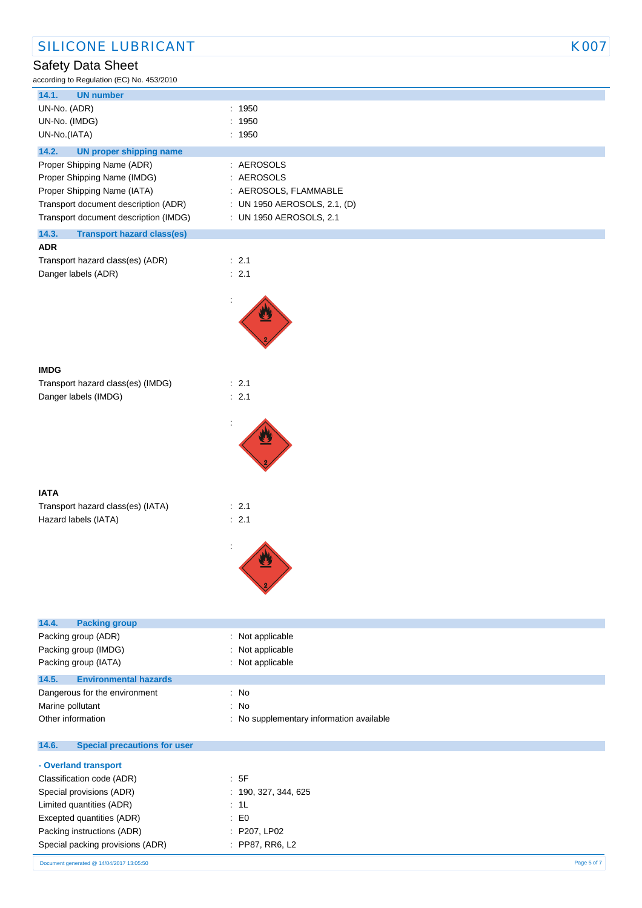| ccording to Regulation (EC) No. 453/2010   |                              |
|--------------------------------------------|------------------------------|
| 14.1.<br><b>UN number</b>                  |                              |
| UN-No. (ADR)                               | : 1950                       |
| UN-No. (IMDG)                              | 1950                         |
| UN-No.(IATA)                               | : 1950                       |
| 14.2.<br><b>UN proper shipping name</b>    |                              |
| Proper Shipping Name (ADR)                 | : AEROSOLS                   |
| Proper Shipping Name (IMDG)                | : AEROSOLS                   |
| Proper Shipping Name (IATA)                | : AEROSOLS, FLAMMABLE        |
| Transport document description (ADR)       | : UN 1950 AEROSOLS, 2.1, (D) |
| Transport document description (IMDG)      | : UN 1950 AEROSOLS, 2.1      |
| 14.3.<br><b>Transport hazard class(es)</b> |                              |
| <b>ADR</b>                                 |                              |
| Transport hazard class(es) (ADR)           | : 2.1                        |
| Danger labels (ADR)                        | : 2.1                        |
|                                            |                              |
|                                            |                              |
|                                            |                              |
|                                            |                              |
|                                            |                              |
|                                            |                              |
| <b>IMDG</b>                                |                              |
| Transport hazard class(es) (IMDG)          | : 2.1                        |
| Danger labels (IMDG)                       | : 2.1                        |
|                                            |                              |
|                                            |                              |
|                                            |                              |
|                                            |                              |
|                                            |                              |
|                                            |                              |
| <b>IATA</b>                                |                              |
|                                            |                              |
| Transport hazard class(es) (IATA)          | : 2.1                        |
| Hazard labels (IATA)                       | : 2.1                        |
|                                            |                              |
|                                            | ÷                            |
|                                            |                              |
|                                            |                              |
|                                            |                              |
|                                            |                              |
| 14.4.<br><b>Packing group</b>              |                              |
| Packing group (ADR)                        | Not applicable               |
| Packing group (IMDG)                       | Not applicable               |
| Packing group (IATA)                       | Not applicable               |
| 14.5.<br><b>Environmental hazards</b>      |                              |
| Dangerous for the environment              | : No                         |

Other information **contracts** : No supplementary information available

Marine pollutant in the set of the set of the set of the set of the set of the set of the set of the set of the set of the set of the set of the set of the set of the set of the set of the set of the set of the set of the

### **14.6. Special precautions for user**

| - Overland transport             |                      |
|----------------------------------|----------------------|
| Classification code (ADR)        | : 5F                 |
| Special provisions (ADR)         | : 190, 327, 344, 625 |
| Limited quantities (ADR)         | : 1L                 |
| Excepted quantities (ADR)        | : E0                 |
| Packing instructions (ADR)       | : P207, LP02         |
| Special packing provisions (ADR) | : PP87, RR6, L2      |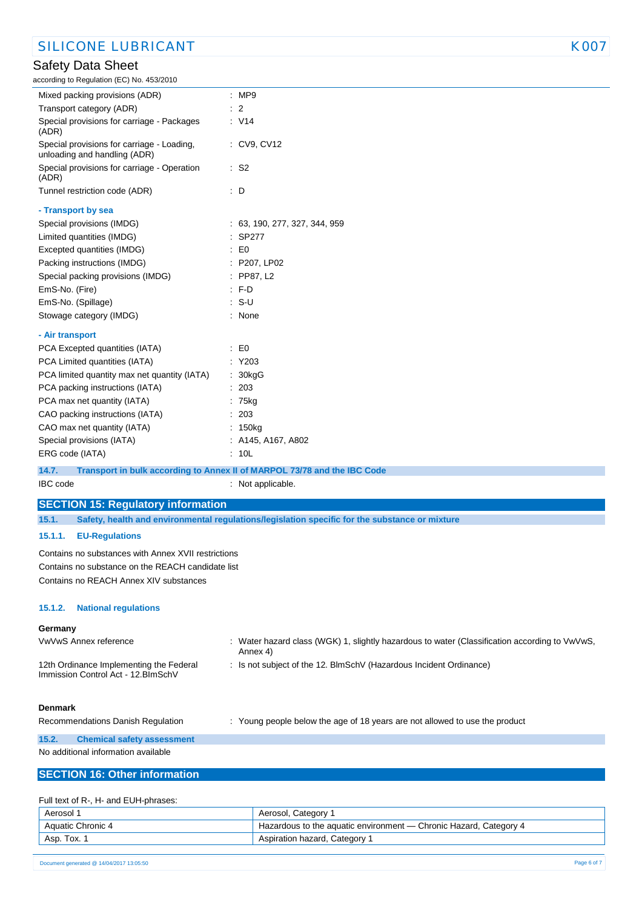### SILICONE LUBRICANT KOOT

### Safety Data Sheet

| according to Regulation (EC) No. 453/2010                                                                |                                                                                                           |
|----------------------------------------------------------------------------------------------------------|-----------------------------------------------------------------------------------------------------------|
| Mixed packing provisions (ADR)                                                                           | : MP9                                                                                                     |
| Transport category (ADR)                                                                                 | $\therefore$ 2                                                                                            |
| Special provisions for carriage - Packages<br>(ADR)                                                      | : V14                                                                                                     |
| Special provisions for carriage - Loading,<br>unloading and handling (ADR)                               | $\therefore$ CV9, CV12                                                                                    |
| Special provisions for carriage - Operation<br>(ADR)                                                     | $\therefore$ S2                                                                                           |
| Tunnel restriction code (ADR)                                                                            | : D                                                                                                       |
| - Transport by sea                                                                                       |                                                                                                           |
| Special provisions (IMDG)                                                                                | : 63, 190, 277, 327, 344, 959                                                                             |
| Limited quantities (IMDG)                                                                                | : SP277                                                                                                   |
| Excepted quantities (IMDG)                                                                               | $\mathsf{E} \mathsf{D}$                                                                                   |
| Packing instructions (IMDG)                                                                              | : P207, LP02                                                                                              |
| Special packing provisions (IMDG)                                                                        | $:$ PP87, L2                                                                                              |
| EmS-No. (Fire)                                                                                           | $: F-D$                                                                                                   |
| EmS-No. (Spillage)                                                                                       | $: S-U$                                                                                                   |
| Stowage category (IMDG)                                                                                  | : None                                                                                                    |
|                                                                                                          |                                                                                                           |
| - Air transport                                                                                          |                                                                                                           |
| PCA Excepted quantities (IATA)                                                                           | $\mathsf{E}0$                                                                                             |
| PCA Limited quantities (IATA)                                                                            | : Y203                                                                                                    |
| PCA limited quantity max net quantity (IATA)                                                             | 30kgG                                                                                                     |
| PCA packing instructions (IATA)                                                                          | : 203                                                                                                     |
| PCA max net quantity (IATA)                                                                              | : 75kg                                                                                                    |
| CAO packing instructions (IATA)                                                                          | 203                                                                                                       |
| CAO max net quantity (IATA)                                                                              | : 150kg                                                                                                   |
| Special provisions (IATA)                                                                                | : A145, A167, A802                                                                                        |
| ERG code (IATA)                                                                                          | : 10L                                                                                                     |
| 14.7.                                                                                                    | Transport in bulk according to Annex II of MARPOL 73/78 and the IBC Code                                  |
| <b>IBC</b> code                                                                                          | : Not applicable.                                                                                         |
| <b>SECTION 15: Regulatory information</b>                                                                |                                                                                                           |
| 15.1.                                                                                                    | Safety, health and environmental regulations/legislation specific for the substance or mixture            |
| 15.1.1.<br><b>EU-Regulations</b>                                                                         |                                                                                                           |
| Contains no substances with Annex XVII restrictions<br>Contains no substance on the REACH candidate list |                                                                                                           |
| Contains no REACH Annex XIV substances                                                                   |                                                                                                           |
|                                                                                                          |                                                                                                           |
| <b>National regulations</b><br>15.1.2.                                                                   |                                                                                                           |
| Germany                                                                                                  |                                                                                                           |
| VwVwS Annex reference                                                                                    | : Water hazard class (WGK) 1, slightly hazardous to water (Classification according to VwVwS,<br>Annex 4) |
| 12th Ordinance Implementing the Federal                                                                  | : Is not subject of the 12. BlmSchV (Hazardous Incident Ordinance)                                        |

#### **Denmark**

Recommendations Danish Regulation : Young people below the age of 18 years are not allowed to use the product

**15.2. Chemical safety assessment**

No additional information available

Immission Control Act - 12.BImSchV

### **SECTION 16: Other information**

### Full text of R-, H- and EUH-phrases:

| Aerosol 1          | Aerosol, Category 1                                               |
|--------------------|-------------------------------------------------------------------|
| Aquatic Chronic 4  | Hazardous to the aguatic environment — Chronic Hazard, Category 4 |
| Asp. Tox. $\gamma$ | Aspiration hazard, Category 1                                     |